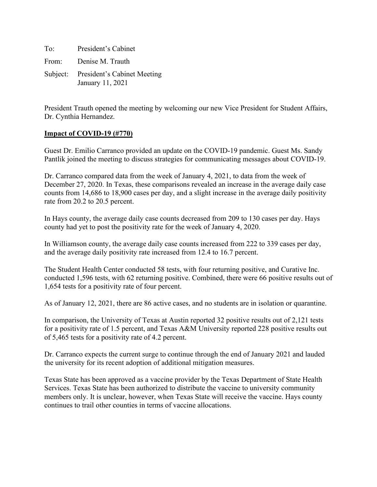To: President's Cabinet From: Denise M. Trauth Subject: President's Cabinet Meeting January 11, 2021

President Trauth opened the meeting by welcoming our new Vice President for Student Affairs, Dr. Cynthia Hernandez.

#### **Impact of COVID-19 (#770)**

Guest Dr. Emilio Carranco provided an update on the COVID-19 pandemic. Guest Ms. Sandy Pantlik joined the meeting to discuss strategies for communicating messages about COVID-19.

Dr. Carranco compared data from the week of January 4, 2021, to data from the week of December 27, 2020. In Texas, these comparisons revealed an increase in the average daily case counts from 14,686 to 18,900 cases per day, and a slight increase in the average daily positivity rate from 20.2 to 20.5 percent.

In Hays county, the average daily case counts decreased from 209 to 130 cases per day. Hays county had yet to post the positivity rate for the week of January 4, 2020.

In Williamson county, the average daily case counts increased from 222 to 339 cases per day, and the average daily positivity rate increased from 12.4 to 16.7 percent.

The Student Health Center conducted 58 tests, with four returning positive, and Curative Inc. conducted 1,596 tests, with 62 returning positive. Combined, there were 66 positive results out of 1,654 tests for a positivity rate of four percent.

As of January 12, 2021, there are 86 active cases, and no students are in isolation or quarantine.

In comparison, the University of Texas at Austin reported 32 positive results out of 2,121 tests for a positivity rate of 1.5 percent, and Texas A&M University reported 228 positive results out of 5,465 tests for a positivity rate of 4.2 percent.

Dr. Carranco expects the current surge to continue through the end of January 2021 and lauded the university for its recent adoption of additional mitigation measures.

Texas State has been approved as a vaccine provider by the Texas Department of State Health Services. Texas State has been authorized to distribute the vaccine to university community members only. It is unclear, however, when Texas State will receive the vaccine. Hays county continues to trail other counties in terms of vaccine allocations.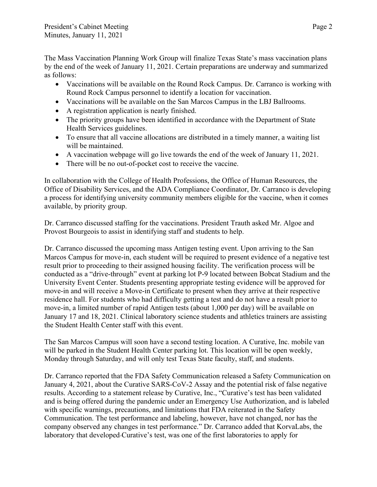The Mass Vaccination Planning Work Group will finalize Texas State's mass vaccination plans by the end of the week of January 11, 2021. Certain preparations are underway and summarized as follows:

- Vaccinations will be available on the Round Rock Campus. Dr. Carranco is working with Round Rock Campus personnel to identify a location for vaccination.
- Vaccinations will be available on the San Marcos Campus in the LBJ Ballrooms.
- A registration application is nearly finished.
- The priority groups have been identified in accordance with the Department of State Health Services guidelines.
- To ensure that all vaccine allocations are distributed in a timely manner, a waiting list will be maintained.
- A vaccination webpage will go live towards the end of the week of January 11, 2021.
- There will be no out-of-pocket cost to receive the vaccine.

In collaboration with the College of Health Professions, the Office of Human Resources, the Office of Disability Services, and the ADA Compliance Coordinator, Dr. Carranco is developing a process for identifying university community members eligible for the vaccine, when it comes available, by priority group.

Dr. Carranco discussed staffing for the vaccinations. President Trauth asked Mr. Algoe and Provost Bourgeois to assist in identifying staff and students to help.

Dr. Carranco discussed the upcoming mass Antigen testing event. Upon arriving to the San Marcos Campus for move-in, each student will be required to present evidence of a negative test result prior to proceeding to their assigned housing facility. The verification process will be conducted as a "drive-through" event at parking lot P-9 located between Bobcat Stadium and the University Event Center. Students presenting appropriate testing evidence will be approved for move-in and will receive a Move-in Certificate to present when they arrive at their respective residence hall. For students who had difficulty getting a test and do not have a result prior to move-in, a limited number of rapid Antigen tests (about 1,000 per day) will be available on January 17 and 18, 2021. Clinical laboratory science students and athletics trainers are assisting the Student Health Center staff with this event.

The San Marcos Campus will soon have a second testing location. A Curative, Inc. mobile van will be parked in the Student Health Center parking lot. This location will be open weekly, Monday through Saturday, and will only test Texas State faculty, staff, and students.

Dr. Carranco reported that the FDA Safety Communication released a Safety Communication on January 4, 2021, about the Curative SARS-CoV-2 Assay and the potential risk of false negative results. According to a statement release by Curative, Inc., "Curative's test has been validated and is being offered during the pandemic under an Emergency Use Authorization, and is labeled with specific warnings, precautions, and limitations that FDA reiterated in the Safety Communication. The test performance and labeling, however, have not changed, nor has the company observed any changes in test performance." Dr. Carranco added that KorvaLabs, the laboratory that developed Curative's test, was one of the first laboratories to apply for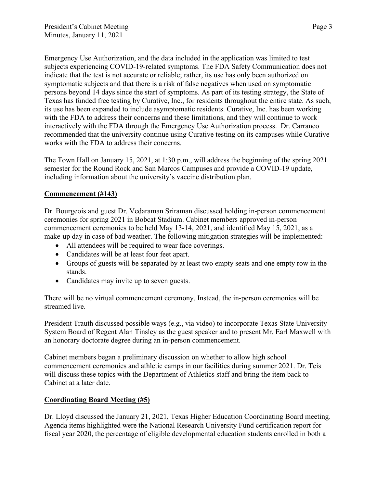Emergency Use Authorization, and the data included in the application was limited to test subjects experiencing COVID-19-related symptoms. The FDA Safety Communication does not indicate that the test is not accurate or reliable; rather, its use has only been authorized on symptomatic subjects and that there is a risk of false negatives when used on symptomatic persons beyond 14 days since the start of symptoms. As part of its testing strategy, the State of Texas has funded free testing by Curative, Inc., for residents throughout the entire state. As such, its use has been expanded to include asymptomatic residents. Curative, Inc. has been working with the FDA to address their concerns and these limitations, and they will continue to work interactively with the FDA through the Emergency Use Authorization process. Dr. Carranco recommended that the university continue using Curative testing on its campuses while Curative works with the FDA to address their concerns.

The Town Hall on January 15, 2021, at 1:30 p.m., will address the beginning of the spring 2021 semester for the Round Rock and San Marcos Campuses and provide a COVID-19 update, including information about the university's vaccine distribution plan.

## **Commencement (#143)**

Dr. Bourgeois and guest Dr. Vedaraman Sriraman discussed holding in-person commencement ceremonies for spring 2021 in Bobcat Stadium. Cabinet members approved in-person commencement ceremonies to be held May 13-14, 2021, and identified May 15, 2021, as a make-up day in case of bad weather. The following mitigation strategies will be implemented:

- All attendees will be required to wear face coverings.
- Candidates will be at least four feet apart.
- Groups of guests will be separated by at least two empty seats and one empty row in the stands.
- Candidates may invite up to seven guests.

There will be no virtual commencement ceremony. Instead, the in-person ceremonies will be streamed live.

President Trauth discussed possible ways (e.g., via video) to incorporate Texas State University System Board of Regent Alan Tinsley as the guest speaker and to present Mr. Earl Maxwell with an honorary doctorate degree during an in-person commencement.

Cabinet members began a preliminary discussion on whether to allow high school commencement ceremonies and athletic camps in our facilities during summer 2021. Dr. Teis will discuss these topics with the Department of Athletics staff and bring the item back to Cabinet at a later date.

## **Coordinating Board Meeting (#5)**

Dr. Lloyd discussed the January 21, 2021, Texas Higher Education Coordinating Board meeting. Agenda items highlighted were the National Research University Fund certification report for fiscal year 2020, the percentage of eligible developmental education students enrolled in both a